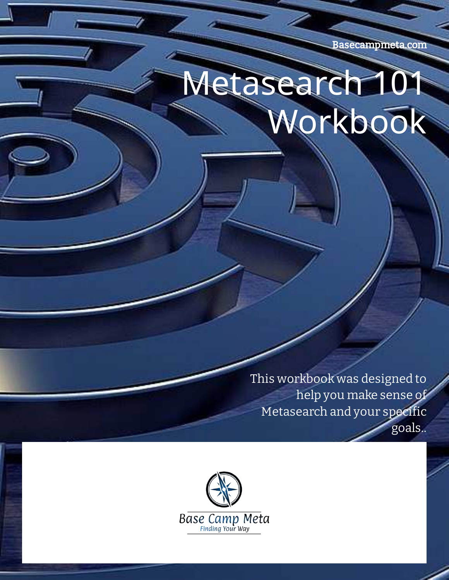Basecampmeta.com

# Metasearch 101 Workbook

This workbook was designed to help you make sense of Metasearch and your specific goals..

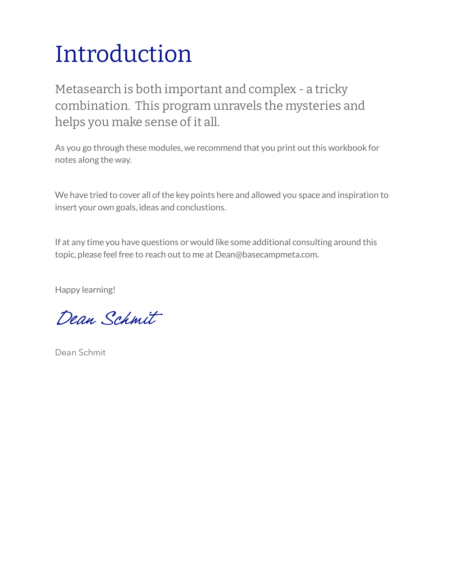## Introduction

Metasearch is both important and complex - a tricky combination. This program unravels the mysteries and helps you make sense of it all.

As you go through these modules, we recommend that you print out this workbook for notes along the way.

We have tried to cover all of the key points here and allowed you space and inspiration to insert your own goals, ideas and conclustions.

If at any time you have questions or would like some additional consulting around this topic, please feel free to reach out to me at Dean@basecampmeta.com.

Happy learning!

Dean Schmit

Dean Schmit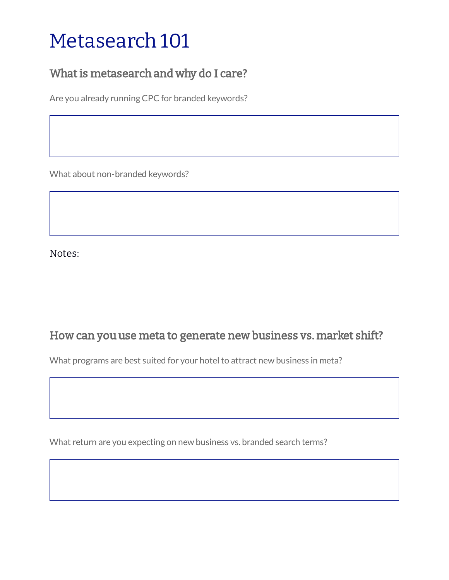#### Metasearch 101

#### What is metasearch and why do I care?

Are you already running CPC for branded keywords?

What about non-branded keywords?

Notes:

#### How can you use meta to generate new business vs. market shift?

What programs are best suited for your hotel to attract new business in meta?

What return are you expecting on new business vs. branded search terms?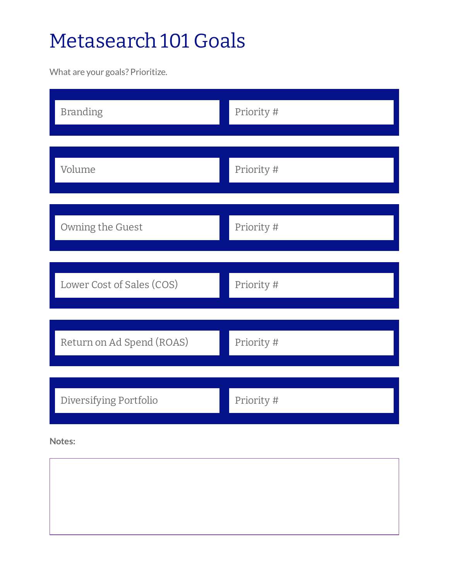### Metasearch 101 Goals

What are your goals? Prioritize.

| <b>Branding</b>           | Priority # |
|---------------------------|------------|
| Volume                    | Priority # |
| Owning the Guest          | Priority # |
| Lower Cost of Sales (COS) | Priority # |
| Return on Ad Spend (ROAS) | Priority # |
| Diversifying Portfolio    | Priority # |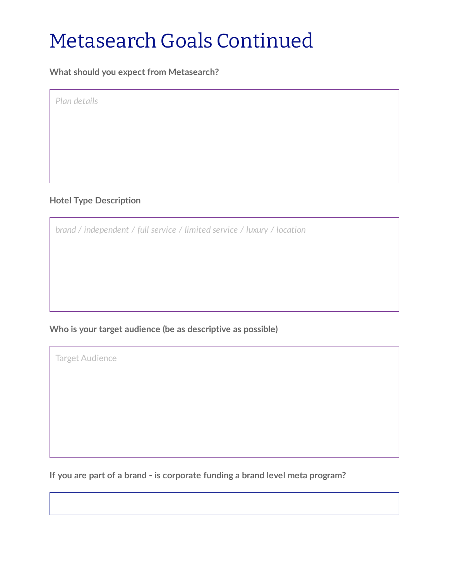#### Metasearch Goals Continued

**What should you expect from Metasearch?**

*Plan details*

#### **Hotel Type Description**

*brand / independent / full service / limited service / luxury / location*

#### **Who is your target audience (be as descriptive as possible)**

Target Audience

**If you are part of a brand - is corporate funding a brand level meta program?**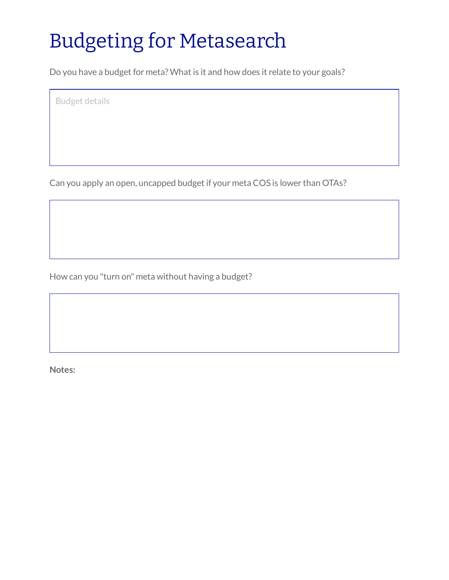### Budgeting for Metasearch

Do you have a budget for meta? What is it and how does it relate to your goals?

Budget details

Can you apply an open, uncapped budget if your meta COS is lower than OTAs?

How can you "turn on" meta without having a budget?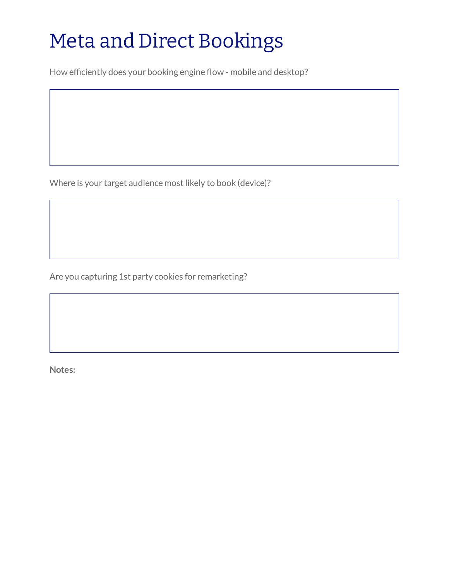### Meta and Direct Bookings

How efficiently does your booking engine flow - mobile and desktop?

Where is your target audience most likely to book (device)?

Are you capturing 1st party cookies for remarketing?